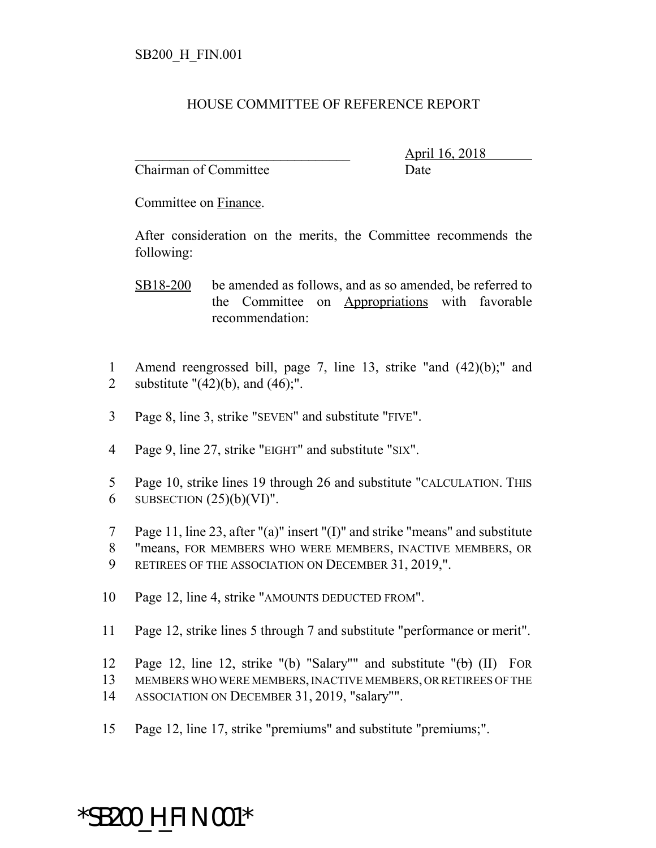#### HOUSE COMMITTEE OF REFERENCE REPORT

Chairman of Committee Date

\_\_\_\_\_\_\_\_\_\_\_\_\_\_\_\_\_\_\_\_\_\_\_\_\_\_\_\_\_\_\_ April 16, 2018

Committee on Finance.

After consideration on the merits, the Committee recommends the following:

- SB18-200 be amended as follows, and as so amended, be referred to the Committee on Appropriations with favorable recommendation:
- 1 Amend reengrossed bill, page 7, line 13, strike "and (42)(b);" and 2 substitute  $"(42)(b)$ , and  $(46)$ ;".
- 3 Page 8, line 3, strike "SEVEN" and substitute "FIVE".
- 4 Page 9, line 27, strike "EIGHT" and substitute "SIX".
- 5 Page 10, strike lines 19 through 26 and substitute "CALCULATION. THIS 6 SUBSECTION  $(25)(b)(VI)$ ".
- 7 Page 11, line 23, after "(a)" insert "(I)" and strike "means" and substitute
- 8 "means, FOR MEMBERS WHO WERE MEMBERS, INACTIVE MEMBERS, OR
- 9 RETIREES OF THE ASSOCIATION ON DECEMBER 31, 2019,".
- 10 Page 12, line 4, strike "AMOUNTS DEDUCTED FROM".
- 11 Page 12, strike lines 5 through 7 and substitute "performance or merit".
- 12 Page 12, line 12, strike "(b) "Salary"" and substitute "(b) (II) FOR
- 13 MEMBERS WHO WERE MEMBERS, INACTIVE MEMBERS, OR RETIREES OF THE
- 14 ASSOCIATION ON DECEMBER 31, 2019, "salary"".
- 15 Page 12, line 17, strike "premiums" and substitute "premiums;".

# \*SB200\_H\_FIN.001\*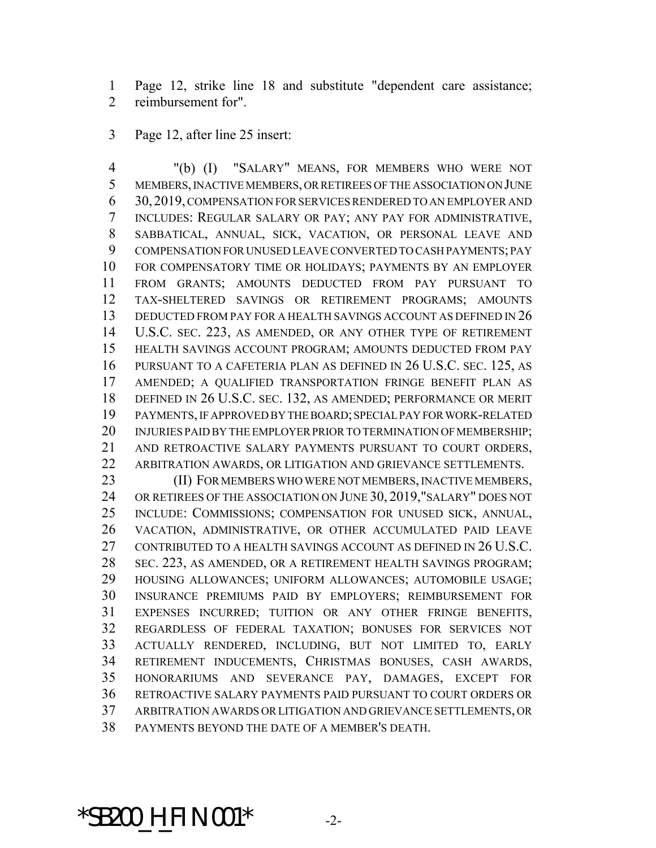Page 12, strike line 18 and substitute "dependent care assistance; reimbursement for".

Page 12, after line 25 insert:

 "(b) (I) "SALARY" MEANS, FOR MEMBERS WHO WERE NOT MEMBERS, INACTIVE MEMBERS, OR RETIREES OF THE ASSOCIATION ON JUNE 30, 2019, COMPENSATION FOR SERVICES RENDERED TO AN EMPLOYER AND INCLUDES: REGULAR SALARY OR PAY; ANY PAY FOR ADMINISTRATIVE, SABBATICAL, ANNUAL, SICK, VACATION, OR PERSONAL LEAVE AND COMPENSATION FOR UNUSED LEAVE CONVERTED TO CASH PAYMENTS; PAY FOR COMPENSATORY TIME OR HOLIDAYS; PAYMENTS BY AN EMPLOYER FROM GRANTS; AMOUNTS DEDUCTED FROM PAY PURSUANT TO TAX-SHELTERED SAVINGS OR RETIREMENT PROGRAMS; AMOUNTS 13 DEDUCTED FROM PAY FOR A HEALTH SAVINGS ACCOUNT AS DEFINED IN 26 U.S.C. SEC. 223, AS AMENDED, OR ANY OTHER TYPE OF RETIREMENT HEALTH SAVINGS ACCOUNT PROGRAM; AMOUNTS DEDUCTED FROM PAY PURSUANT TO A CAFETERIA PLAN AS DEFINED IN 26 U.S.C. SEC. 125, AS AMENDED; A QUALIFIED TRANSPORTATION FRINGE BENEFIT PLAN AS DEFINED IN 26 U.S.C. SEC. 132, AS AMENDED; PERFORMANCE OR MERIT PAYMENTS, IF APPROVED BY THE BOARD; SPECIAL PAY FOR WORK-RELATED 20 INJURIES PAID BY THE EMPLOYER PRIOR TO TERMINATION OF MEMBERSHIP; AND RETROACTIVE SALARY PAYMENTS PURSUANT TO COURT ORDERS, ARBITRATION AWARDS, OR LITIGATION AND GRIEVANCE SETTLEMENTS.

 (II) FOR MEMBERS WHO WERE NOT MEMBERS, INACTIVE MEMBERS, OR RETIREES OF THE ASSOCIATION ON JUNE 30, 2019,"SALARY" DOES NOT INCLUDE: COMMISSIONS; COMPENSATION FOR UNUSED SICK, ANNUAL, VACATION, ADMINISTRATIVE, OR OTHER ACCUMULATED PAID LEAVE CONTRIBUTED TO A HEALTH SAVINGS ACCOUNT AS DEFINED IN 26 U.S.C. SEC. 223, AS AMENDED, OR A RETIREMENT HEALTH SAVINGS PROGRAM; HOUSING ALLOWANCES; UNIFORM ALLOWANCES; AUTOMOBILE USAGE; INSURANCE PREMIUMS PAID BY EMPLOYERS; REIMBURSEMENT FOR EXPENSES INCURRED; TUITION OR ANY OTHER FRINGE BENEFITS, REGARDLESS OF FEDERAL TAXATION; BONUSES FOR SERVICES NOT ACTUALLY RENDERED, INCLUDING, BUT NOT LIMITED TO, EARLY RETIREMENT INDUCEMENTS, CHRISTMAS BONUSES, CASH AWARDS, HONORARIUMS AND SEVERANCE PAY, DAMAGES, EXCEPT FOR RETROACTIVE SALARY PAYMENTS PAID PURSUANT TO COURT ORDERS OR ARBITRATION AWARDS OR LITIGATION AND GRIEVANCE SETTLEMENTS, OR PAYMENTS BEYOND THE DATE OF A MEMBER'S DEATH.

#### **\*SB200\_H\_FIN.001\*** -2-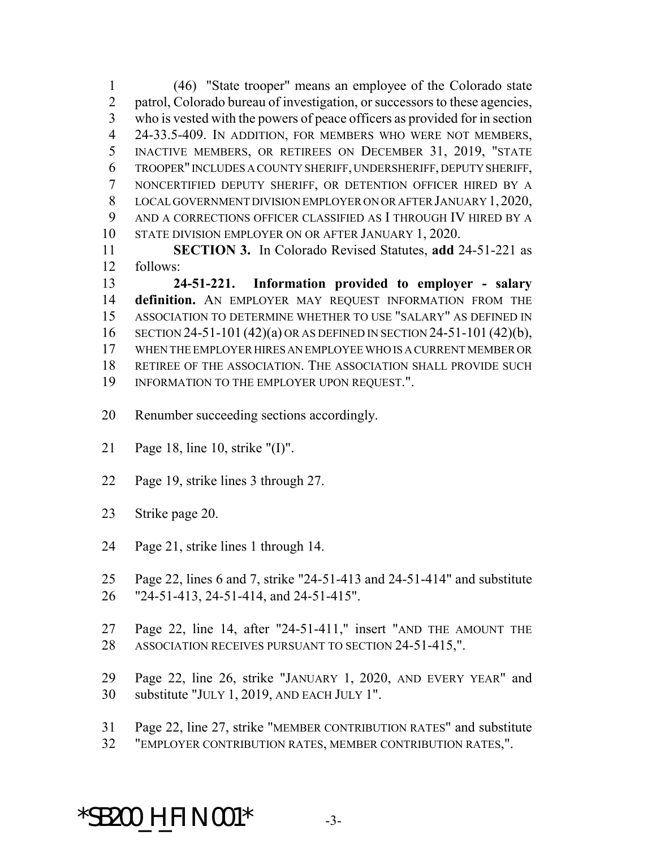(46) "State trooper" means an employee of the Colorado state patrol, Colorado bureau of investigation, or successors to these agencies, who is vested with the powers of peace officers as provided for in section 4 24-33.5-409. IN ADDITION, FOR MEMBERS WHO WERE NOT MEMBERS, INACTIVE MEMBERS, OR RETIREES ON DECEMBER 31, 2019, "STATE TROOPER" INCLUDES A COUNTY SHERIFF, UNDERSHERIFF, DEPUTY SHERIFF, NONCERTIFIED DEPUTY SHERIFF, OR DETENTION OFFICER HIRED BY A LOCAL GOVERNMENT DIVISION EMPLOYER ON OR AFTER JANUARY 1,2020, AND A CORRECTIONS OFFICER CLASSIFIED AS I THROUGH IV HIRED BY A STATE DIVISION EMPLOYER ON OR AFTER JANUARY 1, 2020.

 **SECTION 3.** In Colorado Revised Statutes, **add** 24-51-221 as follows:

 **24-51-221. Information provided to employer - salary definition.** AN EMPLOYER MAY REQUEST INFORMATION FROM THE ASSOCIATION TO DETERMINE WHETHER TO USE "SALARY" AS DEFINED IN SECTION 24-51-101 (42)(a) OR AS DEFINED IN SECTION 24-51-101 (42)(b), WHEN THE EMPLOYER HIRES AN EMPLOYEE WHO IS A CURRENT MEMBER OR RETIREE OF THE ASSOCIATION. THE ASSOCIATION SHALL PROVIDE SUCH INFORMATION TO THE EMPLOYER UPON REQUEST.".

- Renumber succeeding sections accordingly.
- Page 18, line 10, strike "(I)".
- Page 19, strike lines 3 through 27.
- Strike page 20.
- Page 21, strike lines 1 through 14.
- Page 22, lines 6 and 7, strike "24-51-413 and 24-51-414" and substitute "24-51-413, 24-51-414, and 24-51-415".
- Page 22, line 14, after "24-51-411," insert "AND THE AMOUNT THE ASSOCIATION RECEIVES PURSUANT TO SECTION 24-51-415,".
- Page 22, line 26, strike "JANUARY 1, 2020, AND EVERY YEAR" and substitute "JULY 1, 2019, AND EACH JULY 1".
- Page 22, line 27, strike "MEMBER CONTRIBUTION RATES" and substitute
- "EMPLOYER CONTRIBUTION RATES, MEMBER CONTRIBUTION RATES,".

### **\*SB200\_H\_FIN.001\*** 3-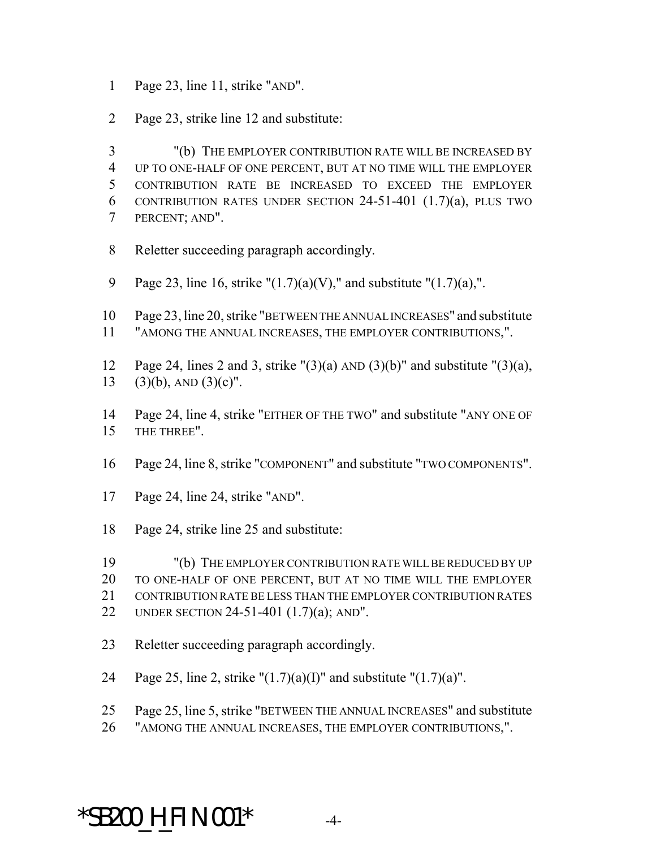- Page 23, line 11, strike "AND".
- Page 23, strike line 12 and substitute:

 "(b) THE EMPLOYER CONTRIBUTION RATE WILL BE INCREASED BY UP TO ONE-HALF OF ONE PERCENT, BUT AT NO TIME WILL THE EMPLOYER CONTRIBUTION RATE BE INCREASED TO EXCEED THE EMPLOYER CONTRIBUTION RATES UNDER SECTION 24-51-401 (1.7)(a), PLUS TWO PERCENT; AND".

- Reletter succeeding paragraph accordingly.
- 9 Page 23, line 16, strike " $(1.7)(a)(V)$ ," and substitute " $(1.7)(a)$ ,".

 Page 23, line 20, strike "BETWEEN THE ANNUAL INCREASES" and substitute "AMONG THE ANNUAL INCREASES, THE EMPLOYER CONTRIBUTIONS,".

- 12 Page 24, lines 2 and 3, strike " $(3)(a)$  AND  $(3)(b)$ " and substitute " $(3)(a)$ , 13 (3)(b), AND  $(3)(c)$ ".
- Page 24, line 4, strike "EITHER OF THE TWO" and substitute "ANY ONE OF THE THREE".
- Page 24, line 8, strike "COMPONENT" and substitute "TWO COMPONENTS".
- Page 24, line 24, strike "AND".
- Page 24, strike line 25 and substitute:

 "(b) THE EMPLOYER CONTRIBUTION RATE WILL BE REDUCED BY UP TO ONE-HALF OF ONE PERCENT, BUT AT NO TIME WILL THE EMPLOYER CONTRIBUTION RATE BE LESS THAN THE EMPLOYER CONTRIBUTION RATES UNDER SECTION 24-51-401 (1.7)(a); AND".

- Reletter succeeding paragraph accordingly.
- 24 Page 25, line 2, strike " $(1.7)(a)$ (I)" and substitute " $(1.7)(a)$ ".
- Page 25, line 5, strike "BETWEEN THE ANNUAL INCREASES" and substitute
- "AMONG THE ANNUAL INCREASES, THE EMPLOYER CONTRIBUTIONS,".

## **\*SB200\_H\_FIN.001\*** -4-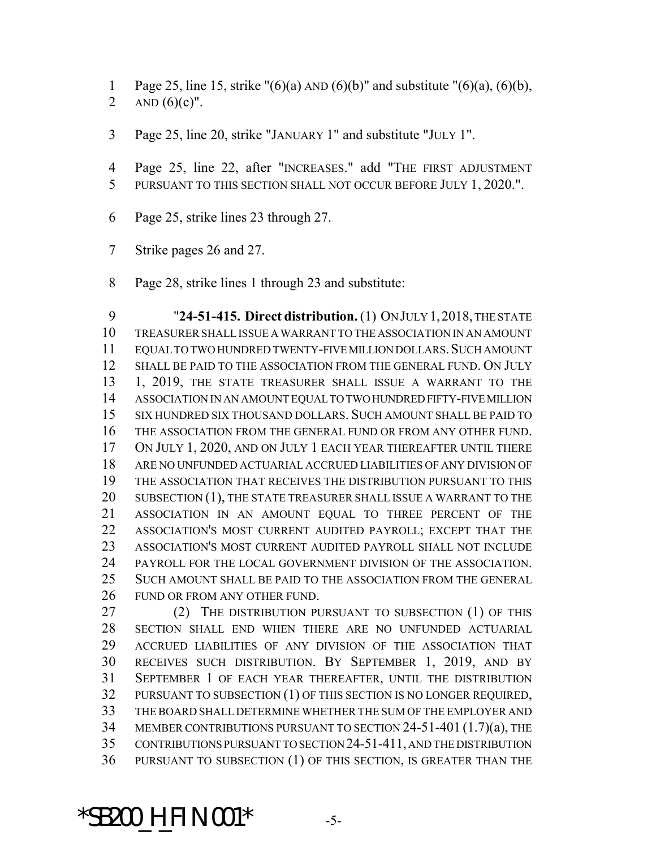- 1 Page 25, line 15, strike " $(6)(a)$  AND  $(6)(b)$ " and substitute " $(6)(a)$ ,  $(6)(b)$ ,
- 2 AND  $(6)(c)$ ".
- Page 25, line 20, strike "JANUARY 1" and substitute "JULY 1".
- Page 25, line 22, after "INCREASES." add "THE FIRST ADJUSTMENT
- PURSUANT TO THIS SECTION SHALL NOT OCCUR BEFORE JULY 1, 2020.".
- Page 25, strike lines 23 through 27.
- Strike pages 26 and 27.
- Page 28, strike lines 1 through 23 and substitute:

 "**24-51-415. Direct distribution.** (1) ON JULY 1,2018, THE STATE TREASURER SHALL ISSUE A WARRANT TO THE ASSOCIATION IN AN AMOUNT EQUAL TO TWO HUNDRED TWENTY-FIVE MILLION DOLLARS.SUCH AMOUNT 12 SHALL BE PAID TO THE ASSOCIATION FROM THE GENERAL FUND. ON JULY 1, 2019, THE STATE TREASURER SHALL ISSUE A WARRANT TO THE ASSOCIATION IN AN AMOUNT EQUAL TO TWO HUNDRED FIFTY-FIVE MILLION SIX HUNDRED SIX THOUSAND DOLLARS. SUCH AMOUNT SHALL BE PAID TO THE ASSOCIATION FROM THE GENERAL FUND OR FROM ANY OTHER FUND. ON JULY 1, 2020, AND ON JULY 1 EACH YEAR THEREAFTER UNTIL THERE ARE NO UNFUNDED ACTUARIAL ACCRUED LIABILITIES OF ANY DIVISION OF THE ASSOCIATION THAT RECEIVES THE DISTRIBUTION PURSUANT TO THIS 20 SUBSECTION (1), THE STATE TREASURER SHALL ISSUE A WARRANT TO THE ASSOCIATION IN AN AMOUNT EQUAL TO THREE PERCENT OF THE ASSOCIATION'S MOST CURRENT AUDITED PAYROLL; EXCEPT THAT THE ASSOCIATION'S MOST CURRENT AUDITED PAYROLL SHALL NOT INCLUDE PAYROLL FOR THE LOCAL GOVERNMENT DIVISION OF THE ASSOCIATION. SUCH AMOUNT SHALL BE PAID TO THE ASSOCIATION FROM THE GENERAL FUND OR FROM ANY OTHER FUND.

27 (2) THE DISTRIBUTION PURSUANT TO SUBSECTION (1) OF THIS SECTION SHALL END WHEN THERE ARE NO UNFUNDED ACTUARIAL ACCRUED LIABILITIES OF ANY DIVISION OF THE ASSOCIATION THAT RECEIVES SUCH DISTRIBUTION. BY SEPTEMBER 1, 2019, AND BY SEPTEMBER 1 OF EACH YEAR THEREAFTER, UNTIL THE DISTRIBUTION PURSUANT TO SUBSECTION (1) OF THIS SECTION IS NO LONGER REQUIRED, THE BOARD SHALL DETERMINE WHETHER THE SUM OF THE EMPLOYER AND MEMBER CONTRIBUTIONS PURSUANT TO SECTION 24-51-401 (1.7)(a), THE CONTRIBUTIONS PURSUANT TO SECTION 24-51-411, AND THE DISTRIBUTION PURSUANT TO SUBSECTION (1) OF THIS SECTION, IS GREATER THAN THE

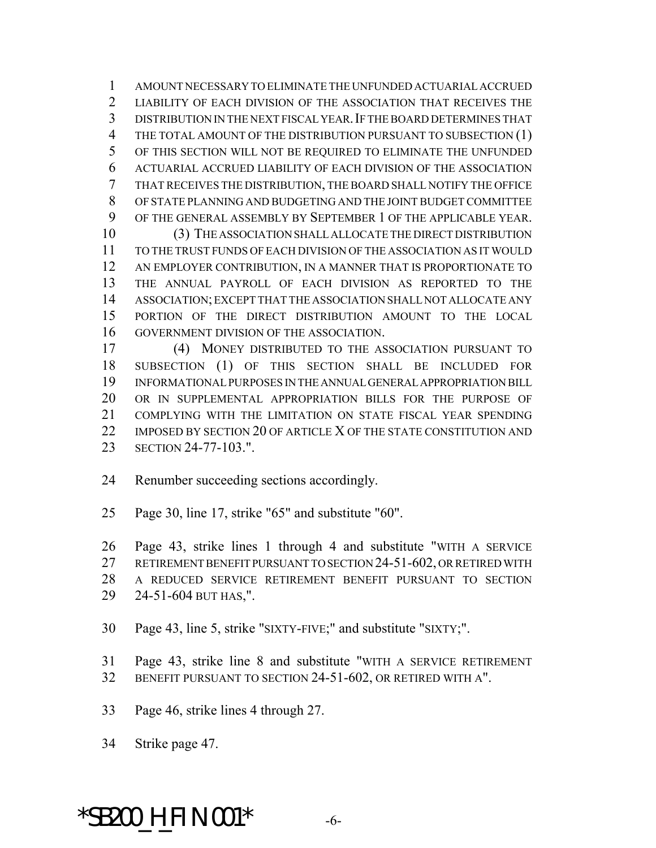AMOUNT NECESSARY TO ELIMINATE THE UNFUNDED ACTUARIAL ACCRUED LIABILITY OF EACH DIVISION OF THE ASSOCIATION THAT RECEIVES THE DISTRIBUTION IN THE NEXT FISCAL YEAR.IF THE BOARD DETERMINES THAT 4 THE TOTAL AMOUNT OF THE DISTRIBUTION PURSUANT TO SUBSECTION (1) OF THIS SECTION WILL NOT BE REQUIRED TO ELIMINATE THE UNFUNDED ACTUARIAL ACCRUED LIABILITY OF EACH DIVISION OF THE ASSOCIATION THAT RECEIVES THE DISTRIBUTION, THE BOARD SHALL NOTIFY THE OFFICE OF STATE PLANNING AND BUDGETING AND THE JOINT BUDGET COMMITTEE OF THE GENERAL ASSEMBLY BY SEPTEMBER 1 OF THE APPLICABLE YEAR. (3) THE ASSOCIATION SHALL ALLOCATE THE DIRECT DISTRIBUTION TO THE TRUST FUNDS OF EACH DIVISION OF THE ASSOCIATION AS IT WOULD AN EMPLOYER CONTRIBUTION, IN A MANNER THAT IS PROPORTIONATE TO

 THE ANNUAL PAYROLL OF EACH DIVISION AS REPORTED TO THE ASSOCIATION; EXCEPT THAT THE ASSOCIATION SHALL NOT ALLOCATE ANY PORTION OF THE DIRECT DISTRIBUTION AMOUNT TO THE LOCAL GOVERNMENT DIVISION OF THE ASSOCIATION.

 (4) MONEY DISTRIBUTED TO THE ASSOCIATION PURSUANT TO SUBSECTION (1) OF THIS SECTION SHALL BE INCLUDED FOR INFORMATIONAL PURPOSES IN THE ANNUAL GENERAL APPROPRIATION BILL OR IN SUPPLEMENTAL APPROPRIATION BILLS FOR THE PURPOSE OF COMPLYING WITH THE LIMITATION ON STATE FISCAL YEAR SPENDING IMPOSED BY SECTION 20 OF ARTICLE X OF THE STATE CONSTITUTION AND SECTION 24-77-103.".

- Renumber succeeding sections accordingly.
- Page 30, line 17, strike "65" and substitute "60".

 Page 43, strike lines 1 through 4 and substitute "WITH A SERVICE RETIREMENT BENEFIT PURSUANT TO SECTION 24-51-602, OR RETIRED WITH A REDUCED SERVICE RETIREMENT BENEFIT PURSUANT TO SECTION 24-51-604 BUT HAS,".

- Page 43, line 5, strike "SIXTY-FIVE;" and substitute "SIXTY;".
- Page 43, strike line 8 and substitute "WITH A SERVICE RETIREMENT BENEFIT PURSUANT TO SECTION 24-51-602, OR RETIRED WITH A".
- Page 46, strike lines 4 through 27.

Strike page 47.

# **\*SB200\_H\_FIN.001\*** -6-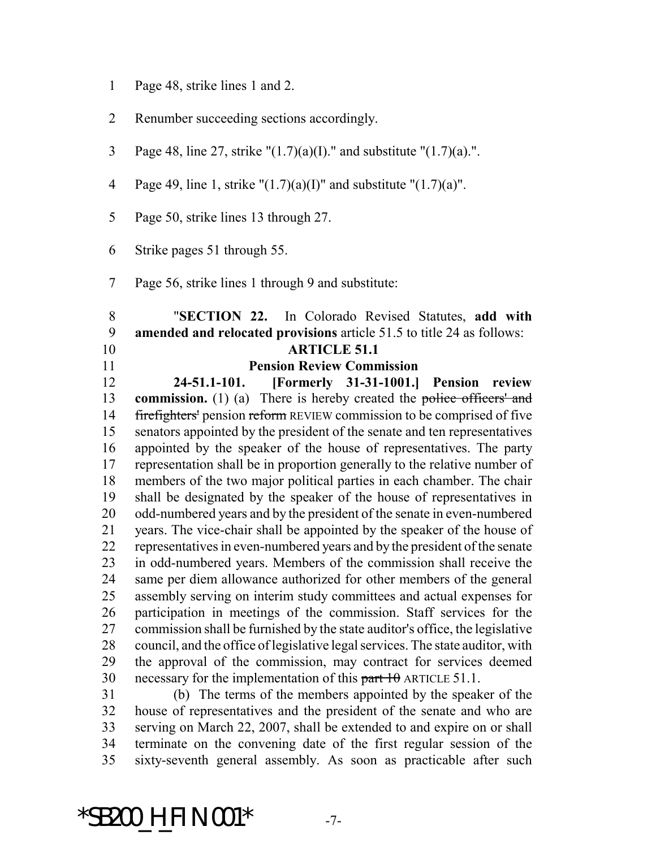- Page 48, strike lines 1 and 2.
- Renumber succeeding sections accordingly.
- 3 Page 48, line 27, strike " $(1.7)(a)$ (I)." and substitute " $(1.7)(a)$ .".
- 4 Page 49, line 1, strike " $(1.7)(a)$ (I)" and substitute " $(1.7)(a)$ ".
- Page 50, strike lines 13 through 27.
- Strike pages 51 through 55.
- Page 56, strike lines 1 through 9 and substitute:

 "**SECTION 22.** In Colorado Revised Statutes, **add with amended and relocated provisions** article 51.5 to title 24 as follows: **ARTICLE 51.1**

#### **Pension Review Commission**

 **24-51.1-101. [Formerly 31-31-1001.] Pension review commission.** (1) (a) There is hereby created the police officers' and 14 firefighters' pension reform REVIEW commission to be comprised of five senators appointed by the president of the senate and ten representatives appointed by the speaker of the house of representatives. The party representation shall be in proportion generally to the relative number of members of the two major political parties in each chamber. The chair shall be designated by the speaker of the house of representatives in odd-numbered years and by the president of the senate in even-numbered years. The vice-chair shall be appointed by the speaker of the house of representatives in even-numbered years and by the president of the senate in odd-numbered years. Members of the commission shall receive the same per diem allowance authorized for other members of the general assembly serving on interim study committees and actual expenses for participation in meetings of the commission. Staff services for the commission shall be furnished by the state auditor's office, the legislative council, and the office of legislative legal services. The state auditor, with the approval of the commission, may contract for services deemed 30 necessary for the implementation of this part ARTICLE 51.1.

 (b) The terms of the members appointed by the speaker of the house of representatives and the president of the senate and who are serving on March 22, 2007, shall be extended to and expire on or shall terminate on the convening date of the first regular session of the sixty-seventh general assembly. As soon as practicable after such

#### **\*SB200\_H\_FIN.001\*** -7-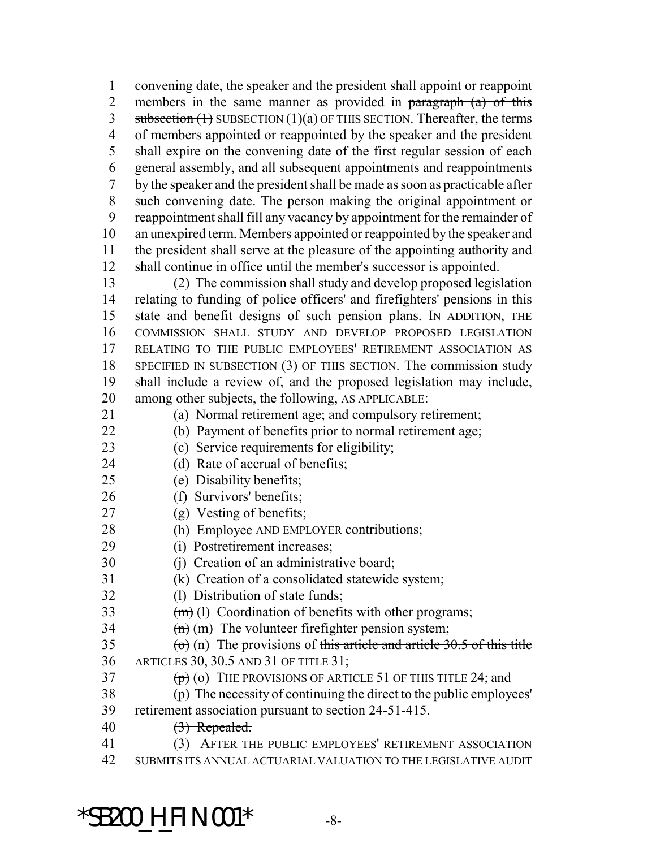convening date, the speaker and the president shall appoint or reappoint 2 members in the same manner as provided in paragraph (a) of this 3 subsection  $(1)$  SUBSECTION  $(1)(a)$  OF THIS SECTION. Thereafter, the terms of members appointed or reappointed by the speaker and the president shall expire on the convening date of the first regular session of each general assembly, and all subsequent appointments and reappointments by the speaker and the president shall be made as soon as practicable after such convening date. The person making the original appointment or reappointment shall fill any vacancy by appointment for the remainder of an unexpired term. Members appointed or reappointed by the speaker and the president shall serve at the pleasure of the appointing authority and shall continue in office until the member's successor is appointed.

 (2) The commission shall study and develop proposed legislation relating to funding of police officers' and firefighters' pensions in this state and benefit designs of such pension plans. IN ADDITION, THE COMMISSION SHALL STUDY AND DEVELOP PROPOSED LEGISLATION RELATING TO THE PUBLIC EMPLOYEES' RETIREMENT ASSOCIATION AS SPECIFIED IN SUBSECTION (3) OF THIS SECTION. The commission study shall include a review of, and the proposed legislation may include, among other subjects, the following, AS APPLICABLE:

21 (a) Normal retirement age; and compulsory retirement;

- (b) Payment of benefits prior to normal retirement age;
- (c) Service requirements for eligibility;
- 24 (d) Rate of accrual of benefits;
- (e) Disability benefits;
- (f) Survivors' benefits;
- (g) Vesting of benefits;
- 28 (h) Employee AND EMPLOYER contributions;
- (i) Postretirement increases;
- (j) Creation of an administrative board;
- (k) Creation of a consolidated statewide system;
- 32 (1) Distribution of state funds;
- 33  $(m)$  (l) Coordination of benefits with other programs;
- (m) The volunteer firefighter pension system;
- (o) (n) The provisions of this article and article 30.5 of this title ARTICLES 30, 30.5 AND 31 OF TITLE 31;
- (p) (o) THE PROVISIONS OF ARTICLE 51 OF THIS TITLE 24; and
- (p) The necessity of continuing the direct to the public employees'
- retirement association pursuant to section 24-51-415.
- $40 \qquad \qquad (3) \text{ Repeated.}$
- (3) AFTER THE PUBLIC EMPLOYEES' RETIREMENT ASSOCIATION SUBMITS ITS ANNUAL ACTUARIAL VALUATION TO THE LEGISLATIVE AUDIT